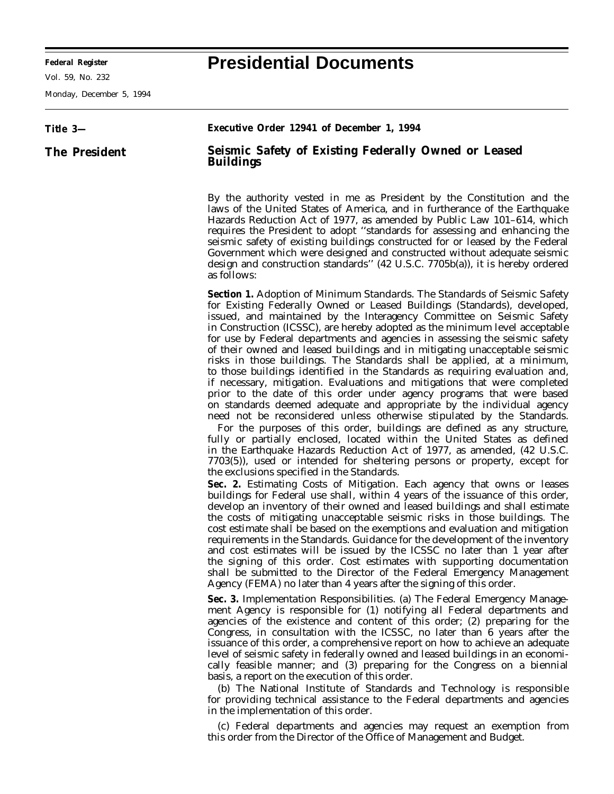Vol. 59, No. 232

Monday, December 5, 1994

## **Federal Register Presidential Documents**

## **Title 3— The President Executive Order 12941 of December 1, 1994 Seismic Safety of Existing Federally Owned or Leased Buildings** By the authority vested in me as President by the Constitution and the laws of the United States of America, and in furtherance of the Earthquake Hazards Reduction Act of 1977, as amended by Public Law 101–614, which requires the President to adopt ''standards for assessing and enhancing the seismic safety of existing buildings constructed for or leased by the Federal Government which were designed and constructed without adequate seismic design and construction standards'' (42 U.S.C. 7705b(a)), it is hereby ordered as follows: **Section 1.** *Adoption of Minimum Standards. The Standards of Seismic Safety for Existing Federally Owned or Leased Buildings* (Standards), developed, issued, and maintained by the Interagency Committee on Seismic Safety in Construction (ICSSC), are hereby adopted as the minimum level acceptable for use by Federal departments and agencies in assessing the seismic safety of their owned and leased buildings and in mitigating unacceptable seismic risks in those buildings. The Standards shall be applied, at a minimum, to those buildings identified in the Standards as requiring evaluation and, if necessary, mitigation. Evaluations and mitigations that were completed prior to the date of this order under agency programs that were based on standards deemed adequate and appropriate by the individual agency need not be reconsidered unless otherwise stipulated by the Standards. For the purposes of this order, buildings are defined as any structure, fully or partially enclosed, located within the United States as defined in the Earthquake Hazards Reduction Act of 1977, as amended, (42 U.S.C. 7703(5)), used or intended for sheltering persons or property, except for the exclusions specified in the Standards. **Sec. 2.** *Estimating Costs of Mitigation.* Each agency that owns or leases buildings for Federal use shall, within 4 years of the issuance of this order, develop an inventory of their owned and leased buildings and shall estimate the costs of mitigating unacceptable seismic risks in those buildings. The cost estimate shall be based on the exemptions and evaluation and mitigation requirements in the Standards. Guidance for the development of the inventory and cost estimates will be issued by the ICSSC no later than 1 year after the signing of this order. Cost estimates with supporting documentation shall be submitted to the Director of the Federal Emergency Management Agency (FEMA) no later than 4 years after the signing of this order. **Sec. 3.** *Implementation Responsibilities.* (a) The Federal Emergency Management Agency is responsible for (1) notifying all Federal departments and agencies of the existence and content of this order; (2) preparing for the Congress, in consultation with the ICSSC, no later than 6 years after the issuance of this order, a comprehensive report on how to achieve an adequate level of seismic safety in federally owned and leased buildings in an economically feasible manner; and (3) preparing for the Congress on a biennial basis, a report on the execution of this order. (b) The National Institute of Standards and Technology is responsible for providing technical assistance to the Federal departments and agencies in the implementation of this order. (c) Federal departments and agencies may request an exemption from this order from the Director of the Office of Management and Budget.